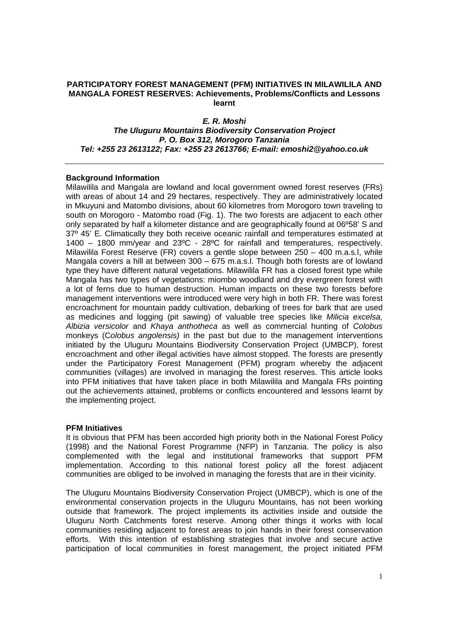# **PARTICIPATORY FOREST MANAGEMENT (PFM) INITIATIVES IN MILAWILILA AND MANGALA FOREST RESERVES: Achievements, Problems/Conflicts and Lessons learnt**

*E. R. Moshi The Uluguru Mountains Biodiversity Conservation Project P. O. Box 312, Morogoro Tanzania Tel: +255 23 2613122; Fax: +255 23 2613766; E-mail: emoshi2@yahoo.co.uk* 

# **Background Information**

Milawilila and Mangala are lowland and local government owned forest reserves (FRs) with areas of about 14 and 29 hectares, respectively. They are administratively located in Mkuyuni and Matombo divisions, about 60 kilometres from Morogoro town traveling to south on Morogoro - Matombo road (Fig. 1). The two forests are adjacent to each other only separated by half a kilometer distance and are geographically found at 06º58' S and 37º 45' E. Climatically they both receive oceanic rainfall and temperatures estimated at 1400 – 1800 mm/year and 23ºC - 28ºC for rainfall and temperatures, respectively. Milawilila Forest Reserve (FR) covers a gentle slope between 250 – 400 m.a.s.l, while Mangala covers a hill at between 300 – 675 m.a.s.l. Though both forests are of lowland type they have different natural vegetations. Milawilila FR has a closed forest type while Mangala has two types of vegetations: miombo woodland and dry evergreen forest with a lot of ferns due to human destruction. Human impacts on these two forests before management interventions were introduced were very high in both FR. There was forest encroachment for mountain paddy cultivation, debarking of trees for bark that are used as medicines and logging (pit sawing) of valuable tree species like *Milicia excelsa, Albizia versicolor* and *Khaya anthotheca* as well as commercial hunting of *Colobus* monkeys (C*olobus angolensis)* in the past but due to the management interventions initiated by the Uluguru Mountains Biodiversity Conservation Project (UMBCP), forest encroachment and other illegal activities have almost stopped. The forests are presently under the Participatory Forest Management (PFM) program whereby the adjacent communities (villages) are involved in managing the forest reserves. This article looks into PFM initiatives that have taken place in both Milawilila and Mangala FRs pointing out the achievements attained, problems or conflicts encountered and lessons learnt by the implementing project.

## **PFM Initiatives**

It is obvious that PFM has been accorded high priority both in the National Forest Policy (1998) and the National Forest Programme (NFP) in Tanzania. The policy is also complemented with the legal and institutional frameworks that support PFM implementation. According to this national forest policy all the forest adjacent communities are obliged to be involved in managing the forests that are in their vicinity.

The Uluguru Mountains Biodiversity Conservation Project (UMBCP), which is one of the environmental conservation projects in the Uluguru Mountains, has not been working outside that framework. The project implements its activities inside and outside the Uluguru North Catchments forest reserve. Among other things it works with local communities residing adjacent to forest areas to join hands in their forest conservation efforts. With this intention of establishing strategies that involve and secure active participation of local communities in forest management, the project initiated PFM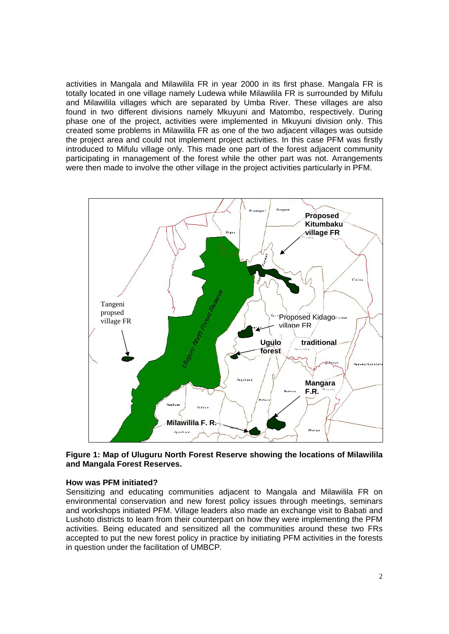activities in Mangala and Milawilila FR in year 2000 in its first phase. Mangala FR is totally located in one village namely Ludewa while Milawilila FR is surrounded by Mifulu and Milawilila villages which are separated by Umba River. These villages are also found in two different divisions namely Mkuyuni and Matombo, respectively. During phase one of the project, activities were implemented in Mkuyuni division only. This created some problems in Milawilila FR as one of the two adjacent villages was outside the project area and could not implement project activities. In this case PFM was firstly introduced to Mifulu village only. This made one part of the forest adjacent community participating in management of the forest while the other part was not. Arrangements were then made to involve the other village in the project activities particularly in PFM.



**Figure 1: Map of Uluguru North Forest Reserve showing the locations of Milawilila and Mangala Forest Reserves.**

#### **How was PFM initiated?**

Sensitizing and educating communities adjacent to Mangala and Milawilila FR on environmental conservation and new forest policy issues through meetings, seminars and workshops initiated PFM. Village leaders also made an exchange visit to Babati and Lushoto districts to learn from their counterpart on how they were implementing the PFM activities. Being educated and sensitized all the communities around these two FRs accepted to put the new forest policy in practice by initiating PFM activities in the forests in question under the facilitation of UMBCP.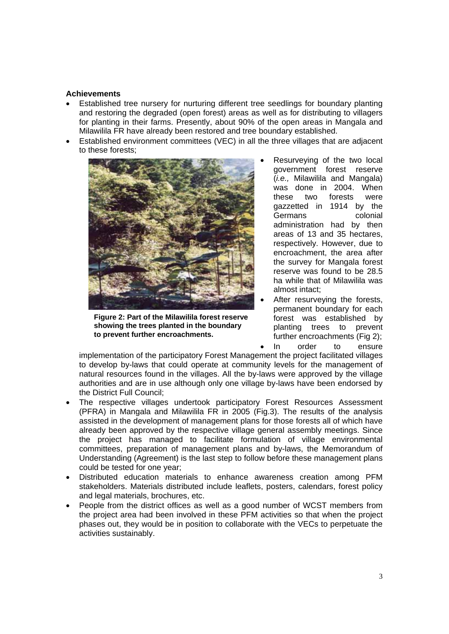## **Achievements**

- Established tree nursery for nurturing different tree seedlings for boundary planting and restoring the degraded (open forest) areas as well as for distributing to villagers for planting in their farms. Presently, about 90% of the open areas in Mangala and Milawilila FR have already been restored and tree boundary established.
- Established environment committees (VEC) in all the three villages that are adjacent to these forests;



**Figure 2: Part of the Milawilila forest reserve showing the trees planted in the boundary to prevent further encroachments.** 

- Resurveying of the two local government forest reserve (*i.e.,* Milawilila and Mangala) was done in 2004. When these two forests were gazzetted in 1914 by the Germans colonial administration had by then areas of 13 and 35 hectares, respectively. However, due to encroachment, the area after the survey for Mangala forest reserve was found to be 28.5 ha while that of Milawilila was almost intact;
- After resurveying the forests, permanent boundary for each forest was established by planting trees to prevent further encroachments (Fig 2); • In order to ensure

implementation of the participatory Forest Management the project facilitated villages to develop by-laws that could operate at community levels for the management of natural resources found in the villages. All the by-laws were approved by the village authorities and are in use although only one village by-laws have been endorsed by the District Full Council;

- The respective villages undertook participatory Forest Resources Assessment (PFRA) in Mangala and Milawilila FR in 2005 (Fig.3). The results of the analysis assisted in the development of management plans for those forests all of which have already been approved by the respective village general assembly meetings. Since the project has managed to facilitate formulation of village environmental committees, preparation of management plans and by-laws, the Memorandum of Understanding (Agreement) is the last step to follow before these management plans could be tested for one year;
- Distributed education materials to enhance awareness creation among PFM stakeholders. Materials distributed include leaflets, posters, calendars, forest policy and legal materials, brochures, etc.
- People from the district offices as well as a good number of WCST members from the project area had been involved in these PFM activities so that when the project phases out, they would be in position to collaborate with the VECs to perpetuate the activities sustainably.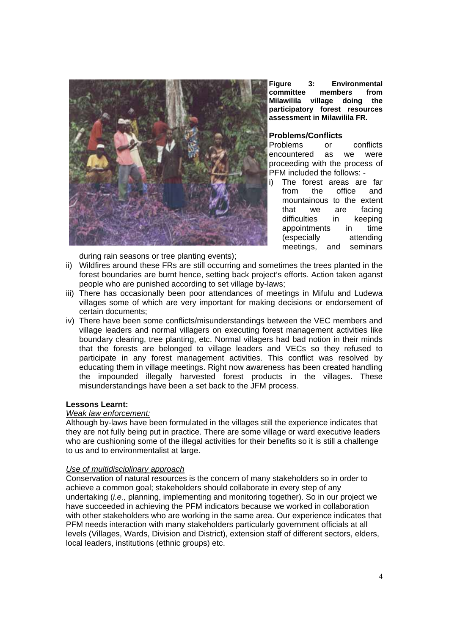

**Figure 3: Environmental committee members from Milawilila village doing the participatory forest resources assessment in Milawilila FR.** 

# **Problems/Conflicts**

Problems or conflicts encountered as we were proceeding with the process of PFM included the follows: -

i) The forest areas are far from the office and mountainous to the extent that we are facing difficulties in keeping appointments in time (especially attending meetings, and seminars

during rain seasons or tree planting events);

- ii) Wildfires around these FRs are still occurring and sometimes the trees planted in the forest boundaries are burnt hence, setting back project's efforts. Action taken aganst people who are punished according to set village by-laws;
- iii) There has occasionally been poor attendances of meetings in Mifulu and Ludewa villages some of which are very important for making decisions or endorsement of certain documents;
- iv) There have been some conflicts/misunderstandings between the VEC members and village leaders and normal villagers on executing forest management activities like boundary clearing, tree planting, etc. Normal villagers had bad notion in their minds that the forests are belonged to village leaders and VECs so they refused to participate in any forest management activities. This conflict was resolved by educating them in village meetings. Right now awareness has been created handling the impounded illegally harvested forest products in the villages. These misunderstandings have been a set back to the JFM process.

## **Lessons Learnt:**

## *Weak law enforcement:*

Although by-laws have been formulated in the villages still the experience indicates that they are not fully being put in practice. There are some village or ward executive leaders who are cushioning some of the illegal activities for their benefits so it is still a challenge to us and to environmentalist at large.

## *Use of multidisciplinary approach*

Conservation of natural resources is the concern of many stakeholders so in order to achieve a common goal; stakeholders should collaborate in every step of any undertaking (*i.e.,* planning, implementing and monitoring together). So in our project we have succeeded in achieving the PFM indicators because we worked in collaboration with other stakeholders who are working in the same area. Our experience indicates that PFM needs interaction with many stakeholders particularly government officials at all levels (Villages, Wards, Division and District), extension staff of different sectors, elders, local leaders, institutions (ethnic groups) etc.